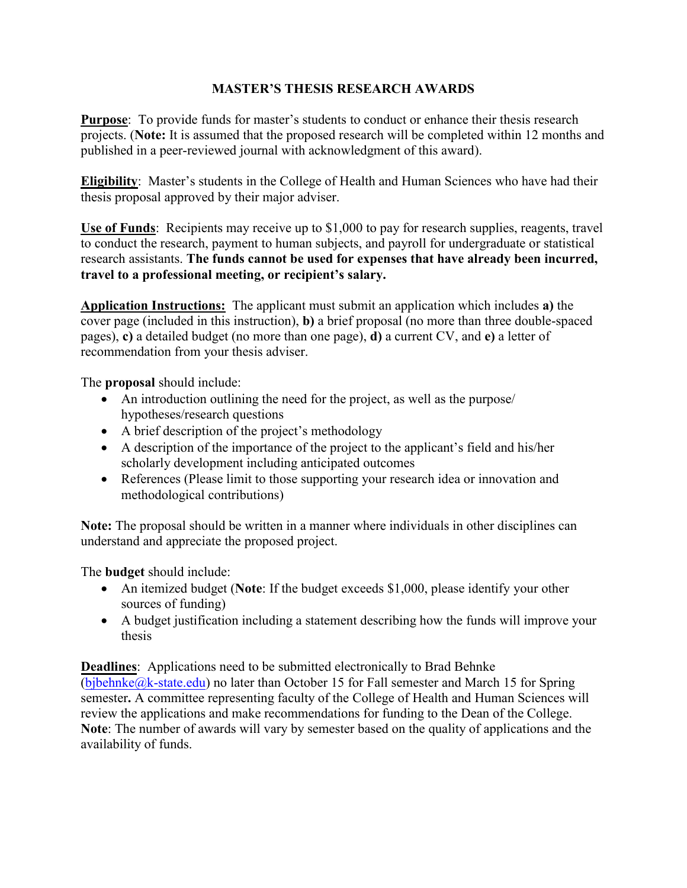## **MASTER'S THESIS RESEARCH AWARDS**

**Purpose**: To provide funds for master's students to conduct or enhance their thesis research projects. (**Note:** It is assumed that the proposed research will be completed within 12 months and published in a peer-reviewed journal with acknowledgment of this award).

**Eligibility**: Master's students in the College of Health and Human Sciences who have had their thesis proposal approved by their major adviser.

**Use of Funds**: Recipients may receive up to \$1,000 to pay for research supplies, reagents, travel to conduct the research, payment to human subjects, and payroll for undergraduate or statistical research assistants. **The funds cannot be used for expenses that have already been incurred, travel to a professional meeting, or recipient's salary.** 

**Application Instructions:** The applicant must submit an application which includes **a)** the cover page (included in this instruction), **b)** a brief proposal (no more than three double-spaced pages), **c)** a detailed budget (no more than one page), **d)** a current CV, and **e)** a letter of recommendation from your thesis adviser.

The **proposal** should include:

- An introduction outlining the need for the project, as well as the purpose/ hypotheses/research questions
- A brief description of the project's methodology
- A description of the importance of the project to the applicant's field and his/her scholarly development including anticipated outcomes
- References (Please limit to those supporting your research idea or innovation and methodological contributions)

**Note:** The proposal should be written in a manner where individuals in other disciplines can understand and appreciate the proposed project.

The **budget** should include:

- An itemized budget (**Note**: If the budget exceeds \$1,000, please identify your other sources of funding)
- A budget justification including a statement describing how the funds will improve your thesis

**Deadlines**: Applications need to be submitted electronically to Brad Behnke (bjbehnke $@k$ -state.edu) no later than October 15 for Fall semester and March 15 for Spring semester**.** A committee representing faculty of the College of Health and Human Sciences will review the applications and make recommendations for funding to the Dean of the College. **Note**: The number of awards will vary by semester based on the quality of applications and the availability of funds.